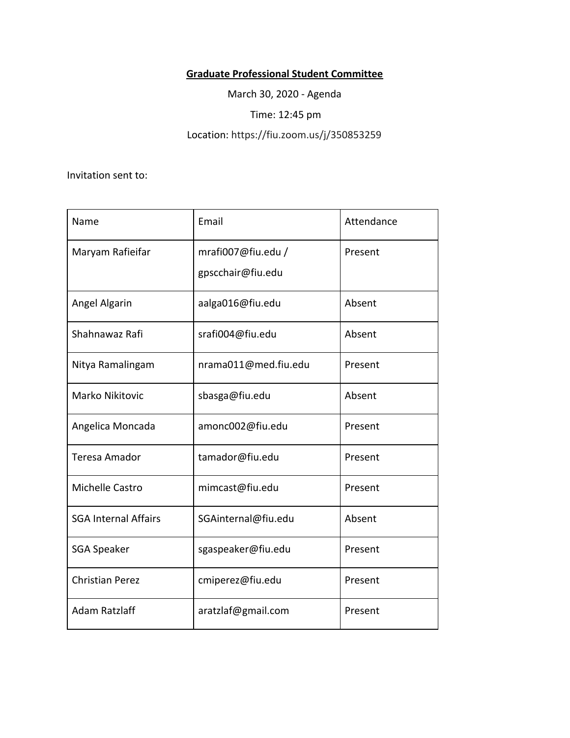## **Graduate Professional Student Committee**

March 30, 2020 - Agenda

Time: 12:45 pm

Location: https://fiu.zoom.us/j/350853259

Invitation sent to:

| Name                        | Email                                   | Attendance |
|-----------------------------|-----------------------------------------|------------|
| Maryam Rafieifar            | mrafi007@fiu.edu /<br>gpscchair@fiu.edu | Present    |
| Angel Algarin               | aalga016@fiu.edu                        | Absent     |
| Shahnawaz Rafi              | srafi004@fiu.edu                        | Absent     |
| Nitya Ramalingam            | nrama011@med.fiu.edu                    | Present    |
| Marko Nikitovic             | sbasga@fiu.edu                          | Absent     |
| Angelica Moncada            | amonc002@fiu.edu                        | Present    |
| <b>Teresa Amador</b>        | tamador@fiu.edu                         | Present    |
| Michelle Castro             | mimcast@fiu.edu                         | Present    |
| <b>SGA Internal Affairs</b> | SGAinternal@fiu.edu                     | Absent     |
| <b>SGA Speaker</b>          | sgaspeaker@fiu.edu                      | Present    |
| <b>Christian Perez</b>      | cmiperez@fiu.edu                        | Present    |
| <b>Adam Ratzlaff</b>        | aratzlaf@gmail.com                      | Present    |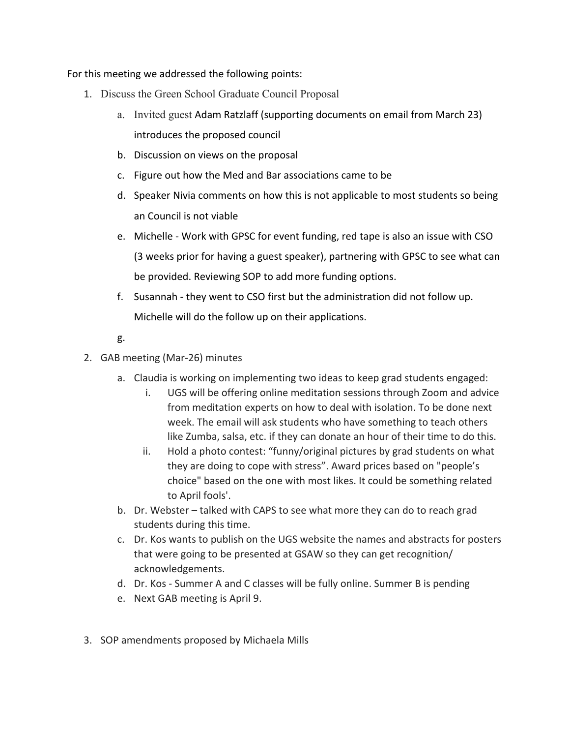For this meeting we addressed the following points:

- 1. Discuss the Green School Graduate Council Proposal
	- a. Invited guest Adam Ratzlaff (supporting documents on email from March 23) introduces the proposed council
	- b. Discussion on views on the proposal
	- c. Figure out how the Med and Bar associations came to be
	- d. Speaker Nivia comments on how this is not applicable to most students so being an Council is not viable
	- e. Michelle Work with GPSC for event funding, red tape is also an issue with CSO (3 weeks prior for having a guest speaker), partnering with GPSC to see what can be provided. Reviewing SOP to add more funding options.
	- f. Susannah they went to CSO first but the administration did not follow up. Michelle will do the follow up on their applications.
	- g.
- 2. GAB meeting (Mar-26) minutes
	- a. Claudia is working on implementing two ideas to keep grad students engaged:
		- i. UGS will be offering online meditation sessions through Zoom and advice from meditation experts on how to deal with isolation. To be done next week. The email will ask students who have something to teach others like Zumba, salsa, etc. if they can donate an hour of their time to do this.
		- ii. Hold a photo contest: "funny/original pictures by grad students on what they are doing to cope with stress". Award prices based on "people's choice" based on the one with most likes. It could be something related to April fools'.
	- b. Dr. Webster talked with CAPS to see what more they can do to reach grad students during this time.
	- c. Dr. Kos wants to publish on the UGS website the names and abstracts for posters that were going to be presented at GSAW so they can get recognition/ acknowledgements.
	- d. Dr. Kos Summer A and C classes will be fully online. Summer B is pending
	- e. Next GAB meeting is April 9.
- 3. SOP amendments proposed by Michaela Mills